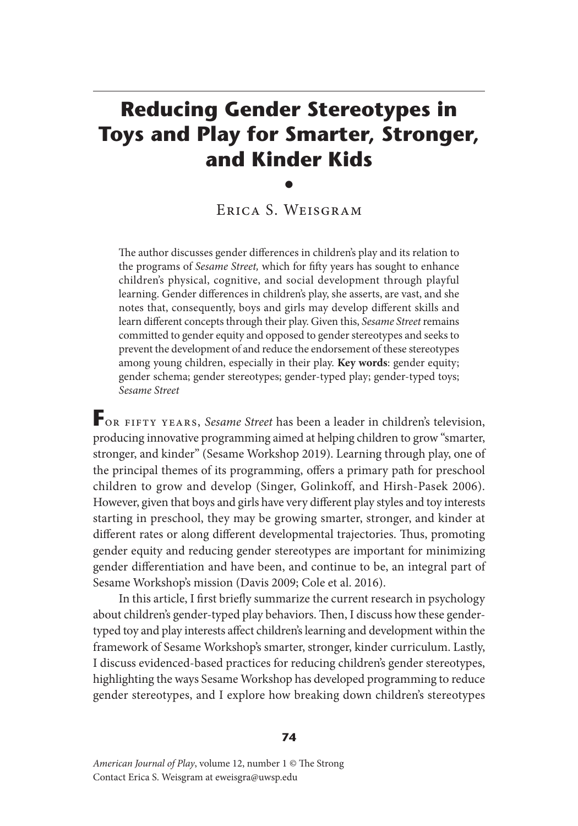# **Reducing Gender Stereotypes in Toys and Play for Smarter, Stronger, and Kinder Kids**

Erica S. Weisgram

•

The author discusses gender differences in children's play and its relation to the programs of *Sesame Street,* which for fifty years has sought to enhance children's physical, cognitive, and social development through playful learning. Gender differences in children's play, she asserts, are vast, and she notes that, consequently, boys and girls may develop different skills and learn different concepts through their play. Given this, *Sesame Street* remains committed to gender equity and opposed to gender stereotypes and seeks to prevent the development of and reduce the endorsement of these stereotypes among young children, especially in their play. **Key words**: gender equity; gender schema; gender stereotypes; gender-typed play; gender-typed toys; *Sesame Street*

**F**or fifty years, *Sesame Street* has been a leader in children's television, producing innovative programming aimed at helping children to grow "smarter, stronger, and kinder" (Sesame Workshop 2019). Learning through play, one of the principal themes of its programming, offers a primary path for preschool children to grow and develop (Singer, Golinkoff, and Hirsh-Pasek 2006). However, given that boys and girls have very different play styles and toy interests starting in preschool, they may be growing smarter, stronger, and kinder at different rates or along different developmental trajectories. Thus, promoting gender equity and reducing gender stereotypes are important for minimizing gender differentiation and have been, and continue to be, an integral part of Sesame Workshop's mission (Davis 2009; Cole et al. 2016).

In this article, I first briefly summarize the current research in psychology about children's gender-typed play behaviors. Then, I discuss how these gendertyped toy and play interests affect children's learning and development within the framework of Sesame Workshop's smarter, stronger, kinder curriculum. Lastly, I discuss evidenced-based practices for reducing children's gender stereotypes, highlighting the ways Sesame Workshop has developed programming to reduce gender stereotypes, and I explore how breaking down children's stereotypes

#### **74**

*American Journal of Play*, volume 12, number 1 © The Strong Contact Erica S. Weisgram at eweisgra@uwsp.edu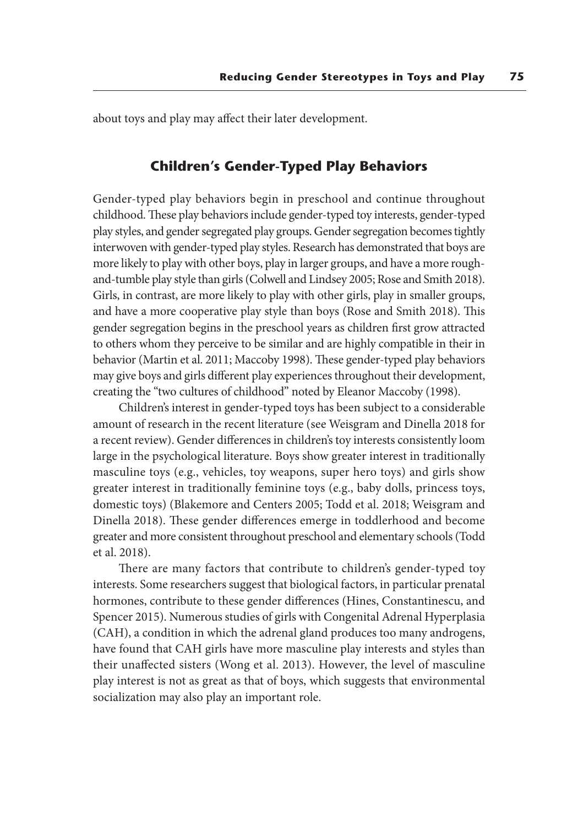about toys and play may affect their later development.

## **Children's Gender-Typed Play Behaviors**

Gender-typed play behaviors begin in preschool and continue throughout childhood. These play behaviors include gender-typed toy interests, gender-typed play styles, and gender segregated play groups. Gender segregation becomes tightly interwoven with gender-typed play styles. Research has demonstrated that boys are more likely to play with other boys, play in larger groups, and have a more roughand-tumble play style than girls (Colwell and Lindsey 2005; Rose and Smith 2018). Girls, in contrast, are more likely to play with other girls, play in smaller groups, and have a more cooperative play style than boys (Rose and Smith 2018). This gender segregation begins in the preschool years as children first grow attracted to others whom they perceive to be similar and are highly compatible in their in behavior (Martin et al. 2011; Maccoby 1998). These gender-typed play behaviors may give boys and girls different play experiences throughout their development, creating the "two cultures of childhood" noted by Eleanor Maccoby (1998).

Children's interest in gender-typed toys has been subject to a considerable amount of research in the recent literature (see Weisgram and Dinella 2018 for a recent review). Gender differences in children's toy interests consistently loom large in the psychological literature. Boys show greater interest in traditionally masculine toys (e.g., vehicles, toy weapons, super hero toys) and girls show greater interest in traditionally feminine toys (e.g., baby dolls, princess toys, domestic toys) (Blakemore and Centers 2005; Todd et al. 2018; Weisgram and Dinella 2018). These gender differences emerge in toddlerhood and become greater and more consistent throughout preschool and elementary schools (Todd et al. 2018).

There are many factors that contribute to children's gender-typed toy interests. Some researchers suggest that biological factors, in particular prenatal hormones, contribute to these gender differences (Hines, Constantinescu, and Spencer 2015). Numerous studies of girls with Congenital Adrenal Hyperplasia (CAH), a condition in which the adrenal gland produces too many androgens, have found that CAH girls have more masculine play interests and styles than their unaffected sisters (Wong et al. 2013). However, the level of masculine play interest is not as great as that of boys, which suggests that environmental socialization may also play an important role.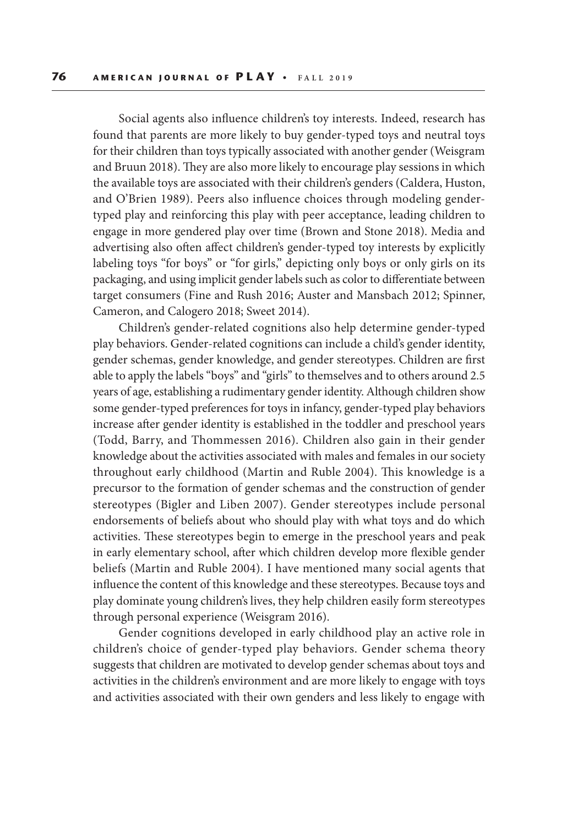Social agents also influence children's toy interests. Indeed, research has found that parents are more likely to buy gender-typed toys and neutral toys for their children than toys typically associated with another gender (Weisgram and Bruun 2018). They are also more likely to encourage play sessions in which the available toys are associated with their children's genders (Caldera, Huston, and O'Brien 1989). Peers also influence choices through modeling gendertyped play and reinforcing this play with peer acceptance, leading children to engage in more gendered play over time (Brown and Stone 2018). Media and advertising also often affect children's gender-typed toy interests by explicitly labeling toys "for boys" or "for girls," depicting only boys or only girls on its packaging, and using implicit gender labels such as color to differentiate between target consumers (Fine and Rush 2016; Auster and Mansbach 2012; Spinner, Cameron, and Calogero 2018; Sweet 2014).

Children's gender-related cognitions also help determine gender-typed play behaviors. Gender-related cognitions can include a child's gender identity, gender schemas, gender knowledge, and gender stereotypes. Children are first able to apply the labels "boys" and "girls" to themselves and to others around 2.5 years of age, establishing a rudimentary gender identity. Although children show some gender-typed preferences for toys in infancy, gender-typed play behaviors increase after gender identity is established in the toddler and preschool years (Todd, Barry, and Thommessen 2016). Children also gain in their gender knowledge about the activities associated with males and females in our society throughout early childhood (Martin and Ruble 2004). This knowledge is a precursor to the formation of gender schemas and the construction of gender stereotypes (Bigler and Liben 2007). Gender stereotypes include personal endorsements of beliefs about who should play with what toys and do which activities. These stereotypes begin to emerge in the preschool years and peak in early elementary school, after which children develop more flexible gender beliefs (Martin and Ruble 2004). I have mentioned many social agents that influence the content of this knowledge and these stereotypes. Because toys and play dominate young children's lives, they help children easily form stereotypes through personal experience (Weisgram 2016).

Gender cognitions developed in early childhood play an active role in children's choice of gender-typed play behaviors. Gender schema theory suggests that children are motivated to develop gender schemas about toys and activities in the children's environment and are more likely to engage with toys and activities associated with their own genders and less likely to engage with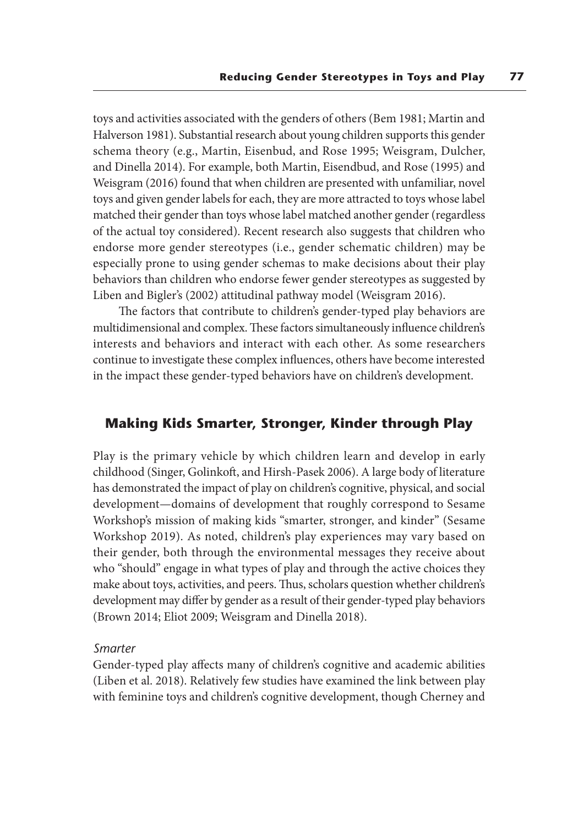toys and activities associated with the genders of others (Bem 1981; Martin and Halverson 1981). Substantial research about young children supports this gender schema theory (e.g., Martin, Eisenbud, and Rose 1995; Weisgram, Dulcher, and Dinella 2014). For example, both Martin, Eisendbud, and Rose (1995) and Weisgram (2016) found that when children are presented with unfamiliar, novel toys and given gender labels for each, they are more attracted to toys whose label matched their gender than toys whose label matched another gender (regardless of the actual toy considered). Recent research also suggests that children who endorse more gender stereotypes (i.e., gender schematic children) may be especially prone to using gender schemas to make decisions about their play behaviors than children who endorse fewer gender stereotypes as suggested by Liben and Bigler's (2002) attitudinal pathway model (Weisgram 2016).

The factors that contribute to children's gender-typed play behaviors are multidimensional and complex. These factors simultaneously influence children's interests and behaviors and interact with each other. As some researchers continue to investigate these complex influences, others have become interested in the impact these gender-typed behaviors have on children's development.

## **Making Kids Smarter, Stronger, Kinder through Play**

Play is the primary vehicle by which children learn and develop in early childhood (Singer, Golinkoft, and Hirsh-Pasek 2006). A large body of literature has demonstrated the impact of play on children's cognitive, physical, and social development—domains of development that roughly correspond to Sesame Workshop's mission of making kids "smarter, stronger, and kinder" (Sesame Workshop 2019). As noted, children's play experiences may vary based on their gender, both through the environmental messages they receive about who "should" engage in what types of play and through the active choices they make about toys, activities, and peers. Thus, scholars question whether children's development may differ by gender as a result of their gender-typed play behaviors (Brown 2014; Eliot 2009; Weisgram and Dinella 2018).

#### *Smarter*

Gender-typed play affects many of children's cognitive and academic abilities (Liben et al. 2018). Relatively few studies have examined the link between play with feminine toys and children's cognitive development, though Cherney and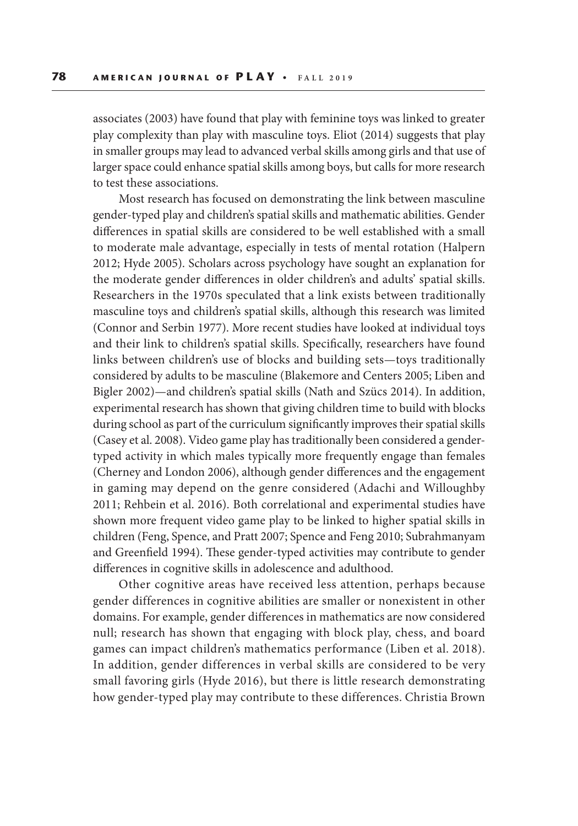associates (2003) have found that play with feminine toys was linked to greater play complexity than play with masculine toys. Eliot (2014) suggests that play in smaller groups may lead to advanced verbal skills among girls and that use of larger space could enhance spatial skills among boys, but calls for more research to test these associations.

Most research has focused on demonstrating the link between masculine gender-typed play and children's spatial skills and mathematic abilities. Gender differences in spatial skills are considered to be well established with a small to moderate male advantage, especially in tests of mental rotation (Halpern 2012; Hyde 2005). Scholars across psychology have sought an explanation for the moderate gender differences in older children's and adults' spatial skills. Researchers in the 1970s speculated that a link exists between traditionally masculine toys and children's spatial skills, although this research was limited (Connor and Serbin 1977). More recent studies have looked at individual toys and their link to children's spatial skills. Specifically, researchers have found links between children's use of blocks and building sets—toys traditionally considered by adults to be masculine (Blakemore and Centers 2005; Liben and Bigler 2002)—and children's spatial skills (Nath and Szücs 2014). In addition, experimental research has shown that giving children time to build with blocks during school as part of the curriculum significantly improves their spatial skills (Casey et al. 2008). Video game play has traditionally been considered a gendertyped activity in which males typically more frequently engage than females (Cherney and London 2006), although gender differences and the engagement in gaming may depend on the genre considered (Adachi and Willoughby 2011; Rehbein et al. 2016). Both correlational and experimental studies have shown more frequent video game play to be linked to higher spatial skills in children (Feng, Spence, and Pratt 2007; Spence and Feng 2010; Subrahmanyam and Greenfield 1994). These gender-typed activities may contribute to gender differences in cognitive skills in adolescence and adulthood.

Other cognitive areas have received less attention, perhaps because gender differences in cognitive abilities are smaller or nonexistent in other domains. For example, gender differences in mathematics are now considered null; research has shown that engaging with block play, chess, and board games can impact children's mathematics performance (Liben et al. 2018). In addition, gender differences in verbal skills are considered to be very small favoring girls (Hyde 2016), but there is little research demonstrating how gender-typed play may contribute to these differences. Christia Brown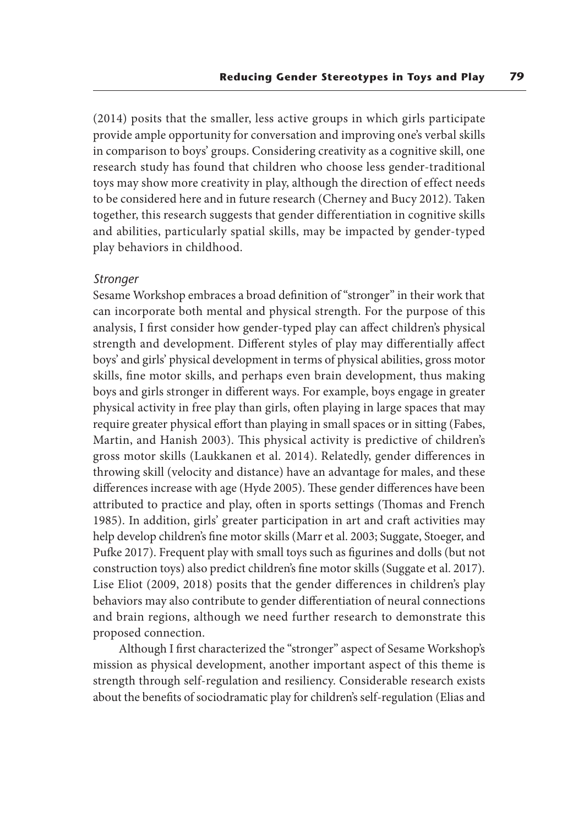(2014) posits that the smaller, less active groups in which girls participate provide ample opportunity for conversation and improving one's verbal skills in comparison to boys' groups. Considering creativity as a cognitive skill, one research study has found that children who choose less gender-traditional toys may show more creativity in play, although the direction of effect needs to be considered here and in future research (Cherney and Bucy 2012). Taken together, this research suggests that gender differentiation in cognitive skills and abilities, particularly spatial skills, may be impacted by gender-typed play behaviors in childhood.

#### *Stronger*

Sesame Workshop embraces a broad definition of "stronger" in their work that can incorporate both mental and physical strength. For the purpose of this analysis, I first consider how gender-typed play can affect children's physical strength and development. Different styles of play may differentially affect boys' and girls' physical development in terms of physical abilities, gross motor skills, fine motor skills, and perhaps even brain development, thus making boys and girls stronger in different ways. For example, boys engage in greater physical activity in free play than girls, often playing in large spaces that may require greater physical effort than playing in small spaces or in sitting (Fabes, Martin, and Hanish 2003). This physical activity is predictive of children's gross motor skills (Laukkanen et al. 2014). Relatedly, gender differences in throwing skill (velocity and distance) have an advantage for males, and these differences increase with age (Hyde 2005). These gender differences have been attributed to practice and play, often in sports settings (Thomas and French 1985). In addition, girls' greater participation in art and craft activities may help develop children's fine motor skills (Marr et al. 2003; Suggate, Stoeger, and Pufke 2017). Frequent play with small toys such as figurines and dolls (but not construction toys) also predict children's fine motor skills (Suggate et al. 2017). Lise Eliot (2009, 2018) posits that the gender differences in children's play behaviors may also contribute to gender differentiation of neural connections and brain regions, although we need further research to demonstrate this proposed connection.

Although I first characterized the "stronger" aspect of Sesame Workshop's mission as physical development, another important aspect of this theme is strength through self-regulation and resiliency. Considerable research exists about the benefits of sociodramatic play for children's self-regulation (Elias and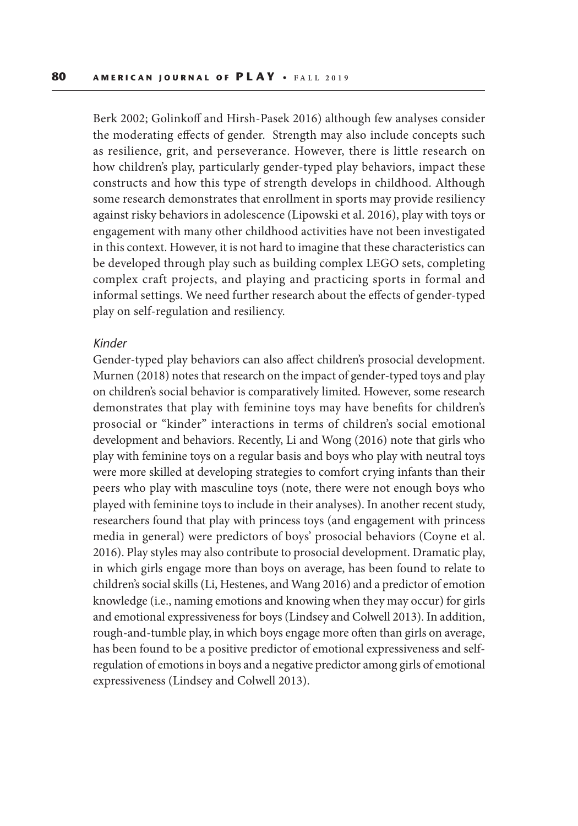Berk 2002; Golinkoff and Hirsh-Pasek 2016) although few analyses consider the moderating effects of gender. Strength may also include concepts such as resilience, grit, and perseverance. However, there is little research on how children's play, particularly gender-typed play behaviors, impact these constructs and how this type of strength develops in childhood. Although some research demonstrates that enrollment in sports may provide resiliency against risky behaviors in adolescence (Lipowski et al. 2016), play with toys or engagement with many other childhood activities have not been investigated in this context. However, it is not hard to imagine that these characteristics can be developed through play such as building complex LEGO sets, completing complex craft projects, and playing and practicing sports in formal and informal settings. We need further research about the effects of gender-typed play on self-regulation and resiliency.

#### *Kinder*

Gender-typed play behaviors can also affect children's prosocial development. Murnen (2018) notes that research on the impact of gender-typed toys and play on children's social behavior is comparatively limited. However, some research demonstrates that play with feminine toys may have benefits for children's prosocial or "kinder" interactions in terms of children's social emotional development and behaviors. Recently, Li and Wong (2016) note that girls who play with feminine toys on a regular basis and boys who play with neutral toys were more skilled at developing strategies to comfort crying infants than their peers who play with masculine toys (note, there were not enough boys who played with feminine toys to include in their analyses). In another recent study, researchers found that play with princess toys (and engagement with princess media in general) were predictors of boys' prosocial behaviors (Coyne et al. 2016). Play styles may also contribute to prosocial development. Dramatic play, in which girls engage more than boys on average, has been found to relate to children's social skills (Li, Hestenes, and Wang 2016) and a predictor of emotion knowledge (i.e., naming emotions and knowing when they may occur) for girls and emotional expressiveness for boys (Lindsey and Colwell 2013). In addition, rough-and-tumble play, in which boys engage more often than girls on average, has been found to be a positive predictor of emotional expressiveness and selfregulation of emotions in boys and a negative predictor among girls of emotional expressiveness (Lindsey and Colwell 2013).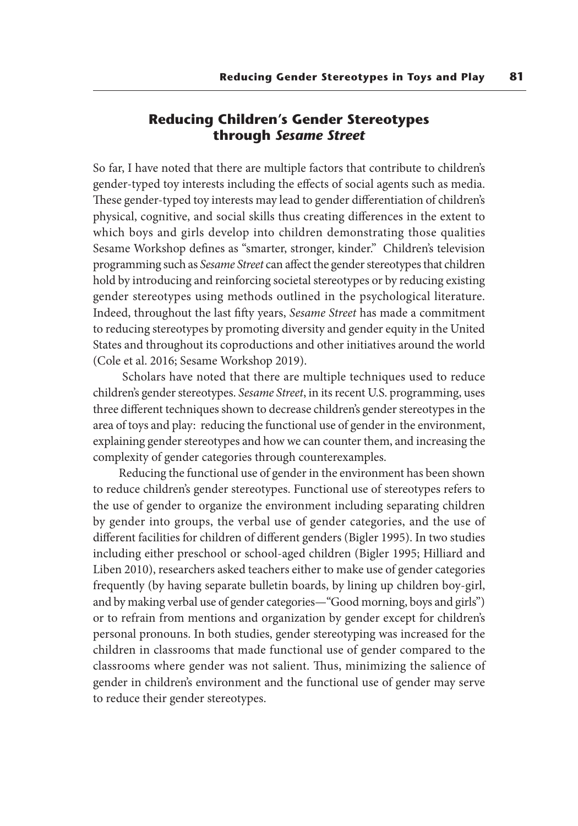# **Reducing Children's Gender Stereotypes through** *Sesame Street*

So far, I have noted that there are multiple factors that contribute to children's gender-typed toy interests including the effects of social agents such as media. These gender-typed toy interests may lead to gender differentiation of children's physical, cognitive, and social skills thus creating differences in the extent to which boys and girls develop into children demonstrating those qualities Sesame Workshop defines as "smarter, stronger, kinder." Children's television programming such as *Sesame Street* can affect the gender stereotypes that children hold by introducing and reinforcing societal stereotypes or by reducing existing gender stereotypes using methods outlined in the psychological literature. Indeed, throughout the last fifty years, *Sesame Street* has made a commitment to reducing stereotypes by promoting diversity and gender equity in the United States and throughout its coproductions and other initiatives around the world (Cole et al. 2016; Sesame Workshop 2019).

 Scholars have noted that there are multiple techniques used to reduce children's gender stereotypes. *Sesame Street*, in its recent U.S. programming, uses three different techniques shown to decrease children's gender stereotypes in the area of toys and play: reducing the functional use of gender in the environment, explaining gender stereotypes and how we can counter them, and increasing the complexity of gender categories through counterexamples.

Reducing the functional use of gender in the environment has been shown to reduce children's gender stereotypes. Functional use of stereotypes refers to the use of gender to organize the environment including separating children by gender into groups, the verbal use of gender categories, and the use of different facilities for children of different genders (Bigler 1995). In two studies including either preschool or school-aged children (Bigler 1995; Hilliard and Liben 2010), researchers asked teachers either to make use of gender categories frequently (by having separate bulletin boards, by lining up children boy-girl, and by making verbal use of gender categories—"Good morning, boys and girls") or to refrain from mentions and organization by gender except for children's personal pronouns. In both studies, gender stereotyping was increased for the children in classrooms that made functional use of gender compared to the classrooms where gender was not salient. Thus, minimizing the salience of gender in children's environment and the functional use of gender may serve to reduce their gender stereotypes.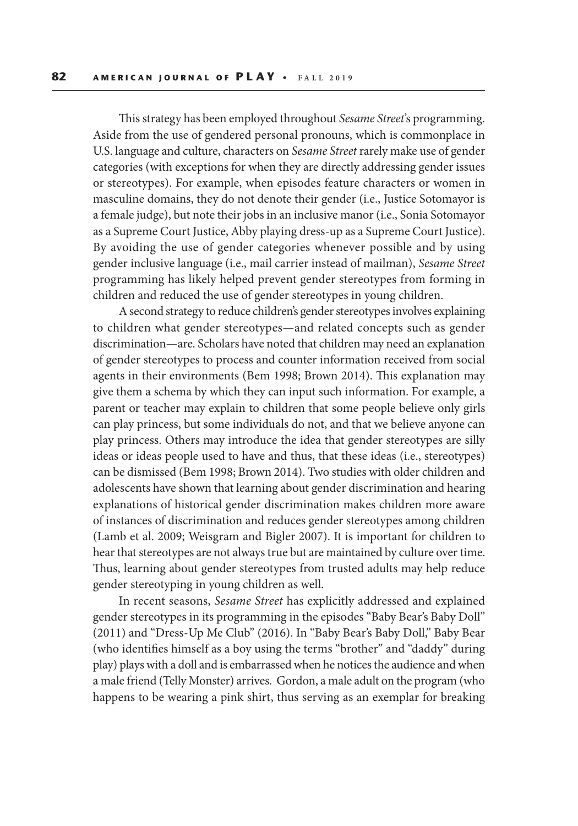This strategy has been employed throughout *Sesame Street*'s programming. Aside from the use of gendered personal pronouns, which is commonplace in U.S. language and culture, characters on *Sesame Street* rarely make use of gender categories (with exceptions for when they are directly addressing gender issues or stereotypes). For example, when episodes feature characters or women in masculine domains, they do not denote their gender (i.e., Justice Sotomayor is a female judge), but note their jobs in an inclusive manor (i.e., Sonia Sotomayor as a Supreme Court Justice, Abby playing dress-up as a Supreme Court Justice). By avoiding the use of gender categories whenever possible and by using gender inclusive language (i.e., mail carrier instead of mailman), *Sesame Street* programming has likely helped prevent gender stereotypes from forming in children and reduced the use of gender stereotypes in young children.

A second strategy to reduce children's gender stereotypes involves explaining to children what gender stereotypes—and related concepts such as gender discrimination—are. Scholars have noted that children may need an explanation of gender stereotypes to process and counter information received from social agents in their environments (Bem 1998; Brown 2014). This explanation may give them a schema by which they can input such information. For example, a parent or teacher may explain to children that some people believe only girls can play princess, but some individuals do not, and that we believe anyone can play princess. Others may introduce the idea that gender stereotypes are silly ideas or ideas people used to have and thus, that these ideas (i.e., stereotypes) can be dismissed (Bem 1998; Brown 2014). Two studies with older children and adolescents have shown that learning about gender discrimination and hearing explanations of historical gender discrimination makes children more aware of instances of discrimination and reduces gender stereotypes among children (Lamb et al. 2009; Weisgram and Bigler 2007). It is important for children to hear that stereotypes are not always true but are maintained by culture over time. Thus, learning about gender stereotypes from trusted adults may help reduce gender stereotyping in young children as well.

In recent seasons, *Sesame Street* has explicitly addressed and explained gender stereotypes in its programming in the episodes "Baby Bear's Baby Doll" (2011) and "Dress-Up Me Club" (2016). In "Baby Bear's Baby Doll," Baby Bear (who identifies himself as a boy using the terms "brother" and "daddy" during play) plays with a doll and is embarrassed when he notices the audience and when a male friend (Telly Monster) arrives. Gordon, a male adult on the program (who happens to be wearing a pink shirt, thus serving as an exemplar for breaking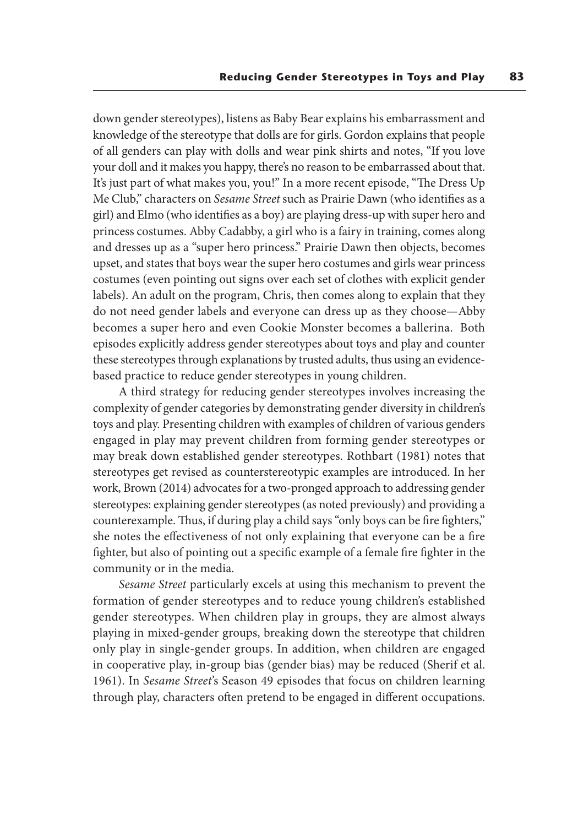down gender stereotypes), listens as Baby Bear explains his embarrassment and knowledge of the stereotype that dolls are for girls. Gordon explains that people of all genders can play with dolls and wear pink shirts and notes, "If you love your doll and it makes you happy, there's no reason to be embarrassed about that. It's just part of what makes you, you!" In a more recent episode, "The Dress Up Me Club," characters on *Sesame Street* such as Prairie Dawn (who identifies as a girl) and Elmo (who identifies as a boy) are playing dress-up with super hero and princess costumes. Abby Cadabby, a girl who is a fairy in training, comes along and dresses up as a "super hero princess." Prairie Dawn then objects, becomes upset, and states that boys wear the super hero costumes and girls wear princess costumes (even pointing out signs over each set of clothes with explicit gender labels). An adult on the program, Chris, then comes along to explain that they do not need gender labels and everyone can dress up as they choose—Abby becomes a super hero and even Cookie Monster becomes a ballerina. Both episodes explicitly address gender stereotypes about toys and play and counter these stereotypes through explanations by trusted adults, thus using an evidencebased practice to reduce gender stereotypes in young children.

A third strategy for reducing gender stereotypes involves increasing the complexity of gender categories by demonstrating gender diversity in children's toys and play. Presenting children with examples of children of various genders engaged in play may prevent children from forming gender stereotypes or may break down established gender stereotypes. Rothbart (1981) notes that stereotypes get revised as counterstereotypic examples are introduced. In her work, Brown (2014) advocates for a two-pronged approach to addressing gender stereotypes: explaining gender stereotypes (as noted previously) and providing a counterexample. Thus, if during play a child says "only boys can be fire fighters," she notes the effectiveness of not only explaining that everyone can be a fire fighter, but also of pointing out a specific example of a female fire fighter in the community or in the media.

*Sesame Street* particularly excels at using this mechanism to prevent the formation of gender stereotypes and to reduce young children's established gender stereotypes. When children play in groups, they are almost always playing in mixed-gender groups, breaking down the stereotype that children only play in single-gender groups. In addition, when children are engaged in cooperative play, in-group bias (gender bias) may be reduced (Sherif et al. 1961). In *Sesame Street*'s Season 49 episodes that focus on children learning through play, characters often pretend to be engaged in different occupations.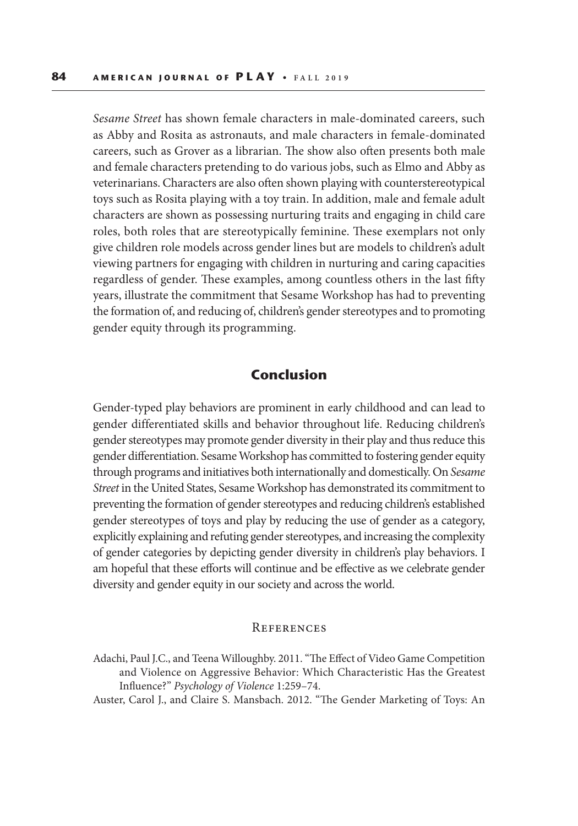*Sesame Street* has shown female characters in male-dominated careers, such as Abby and Rosita as astronauts, and male characters in female-dominated careers, such as Grover as a librarian. The show also often presents both male and female characters pretending to do various jobs, such as Elmo and Abby as veterinarians. Characters are also often shown playing with counterstereotypical toys such as Rosita playing with a toy train. In addition, male and female adult characters are shown as possessing nurturing traits and engaging in child care roles, both roles that are stereotypically feminine. These exemplars not only give children role models across gender lines but are models to children's adult viewing partners for engaging with children in nurturing and caring capacities regardless of gender. These examples, among countless others in the last fifty years, illustrate the commitment that Sesame Workshop has had to preventing the formation of, and reducing of, children's gender stereotypes and to promoting gender equity through its programming.

# **Conclusion**

Gender-typed play behaviors are prominent in early childhood and can lead to gender differentiated skills and behavior throughout life. Reducing children's gender stereotypes may promote gender diversity in their play and thus reduce this gender differentiation. Sesame Workshop has committed to fostering gender equity through programs and initiatives both internationally and domestically. On *Sesame Street* in the United States, Sesame Workshop has demonstrated its commitment to preventing the formation of gender stereotypes and reducing children's established gender stereotypes of toys and play by reducing the use of gender as a category, explicitly explaining and refuting gender stereotypes, and increasing the complexity of gender categories by depicting gender diversity in children's play behaviors. I am hopeful that these efforts will continue and be effective as we celebrate gender diversity and gender equity in our society and across the world.

#### **REFERENCES**

Adachi, Paul J.C., and Teena Willoughby. 2011. "The Effect of Video Game Competition and Violence on Aggressive Behavior: Which Characteristic Has the Greatest Influence?" *Psychology of Violence* 1:259–74.

Auster, Carol J., and Claire S. Mansbach. 2012. "The Gender Marketing of Toys: An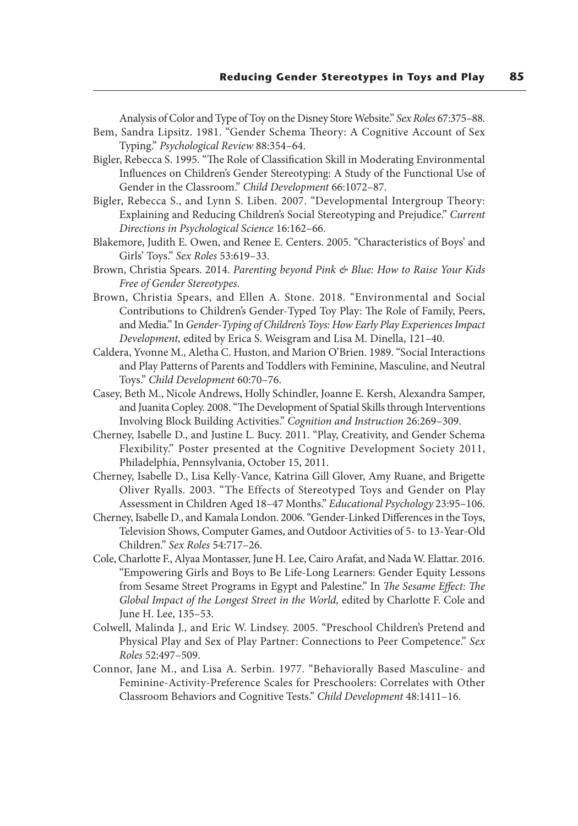Analysis of Color and Type of Toy on the Disney Store Website." *Sex Roles* 67:375–88. Bem, Sandra Lipsitz. 1981. "Gender Schema Theory: A Cognitive Account of Sex Typing." *Psychological Review* 88:354–64.

Bigler, Rebecca S. 1995. "The Role of Classification Skill in Moderating Environmental Influences on Children's Gender Stereotyping: A Study of the Functional Use of Gender in the Classroom." *Child Development* 66:1072–87.

- Bigler, Rebecca S., and Lynn S. Liben. 2007. "Developmental Intergroup Theory: Explaining and Reducing Children's Social Stereotyping and Prejudice." *Current Directions in Psychological Science* 16:162–66.
- Blakemore, Judith E. Owen, and Renee E. Centers. 2005. "Characteristics of Boys' and Girls' Toys." *Sex Roles* 53:619–33.
- Brown, Christia Spears. 2014. *Parenting beyond Pink & Blue: How to Raise Your Kids Free of Gender Stereotypes*.
- Brown, Christia Spears, and Ellen A. Stone. 2018. "Environmental and Social Contributions to Children's Gender-Typed Toy Play: The Role of Family, Peers, and Media." In *Gender-Typing of Children's Toys: How Early Play Experiences Impact Development,* edited by Erica S. Weisgram and Lisa M. Dinella, 121–40.
- Caldera, Yvonne M., Aletha C. Huston, and Marion O'Brien. 1989. "Social Interactions and Play Patterns of Parents and Toddlers with Feminine, Masculine, and Neutral Toys." *Child Development* 60:70–76.
- Casey, Beth M., Nicole Andrews, Holly Schindler, Joanne E. Kersh, Alexandra Samper, and Juanita Copley. 2008. "The Development of Spatial Skills through Interventions Involving Block Building Activities." *Cognition and Instruction* 26:269–309.
- Cherney, Isabelle D., and Justine L. Bucy. 2011. "Play, Creativity, and Gender Schema Flexibility." Poster presented at the Cognitive Development Society 2011, Philadelphia, Pennsylvania, October 15, 2011.
- Cherney, Isabelle D., Lisa Kelly-Vance, Katrina Gill Glover, Amy Ruane, and Brigette Oliver Ryalls. 2003. "The Effects of Stereotyped Toys and Gender on Play Assessment in Children Aged 18–47 Months." *Educational Psychology* 23:95–106.
- Cherney, Isabelle D., and Kamala London. 2006. "Gender-Linked Differences in the Toys, Television Shows, Computer Games, and Outdoor Activities of 5- to 13-Year-Old Children." *Sex Roles* 54:717–26.
- Cole, Charlotte F., Alyaa Montasser, June H. Lee, Cairo Arafat, and Nada W. Elattar. 2016. "Empowering Girls and Boys to Be Life-Long Learners: Gender Equity Lessons from Sesame Street Programs in Egypt and Palestine." In *The Sesame Effect: The Global Impact of the Longest Street in the World,* edited by Charlotte F. Cole and June H. Lee, 135–53.
- Colwell, Malinda J., and Eric W. Lindsey. 2005. "Preschool Children's Pretend and Physical Play and Sex of Play Partner: Connections to Peer Competence." *Sex Roles* 52:497–509.
- Connor, Jane M., and Lisa A. Serbin. 1977. "Behaviorally Based Masculine- and Feminine-Activity-Preference Scales for Preschoolers: Correlates with Other Classroom Behaviors and Cognitive Tests." *Child Development* 48:1411–16.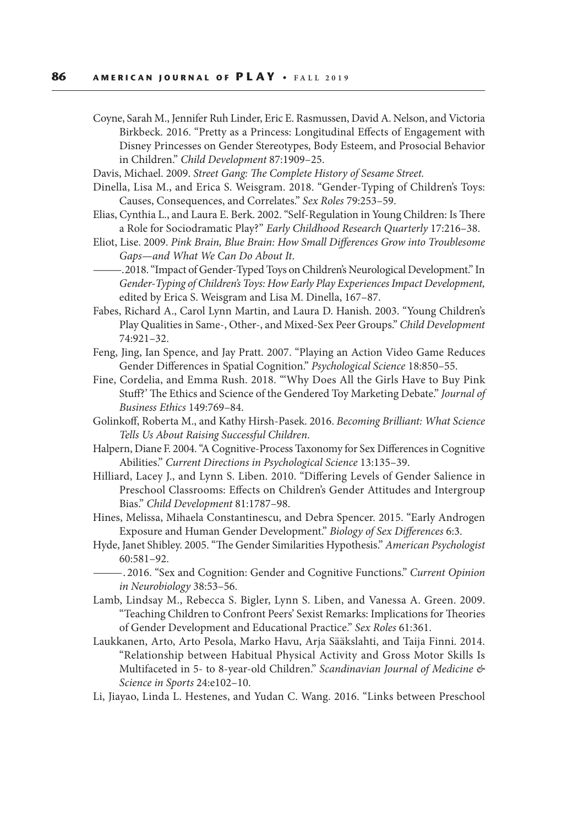- Coyne, Sarah M., Jennifer Ruh Linder, Eric E. Rasmussen, David A. Nelson, and Victoria Birkbeck. 2016. "Pretty as a Princess: Longitudinal Effects of Engagement with Disney Princesses on Gender Stereotypes, Body Esteem, and Prosocial Behavior in Children." *Child Development* 87:1909–25.
- Davis, Michael. 2009. *Street Gang: The Complete History of Sesame Street.*
- Dinella, Lisa M., and Erica S. Weisgram. 2018. "Gender-Typing of Children's Toys: Causes, Consequences, and Correlates." *Sex Roles* 79:253–59.
- Elias, Cynthia L., and Laura E. Berk. 2002. "Self-Regulation in Young Children: Is There a Role for Sociodramatic Play?" *Early Childhood Research Quarterly* 17:216–38.
- Eliot, Lise. 2009. *Pink Brain, Blue Brain: How Small Differences Grow into Troublesome Gaps—and What We Can Do About It*.
	- ——— . 2018. "Impact of Gender-Typed Toys on Children's Neurological Development." In *Gender-Typing of Children's Toys: How Early Play Experiences Impact Development,*  edited by Erica S. Weisgram and Lisa M. Dinella, 167–87.
- Fabes, Richard A., Carol Lynn Martin, and Laura D. Hanish. 2003. "Young Children's Play Qualities in Same-, Other-, and Mixed-Sex Peer Groups." *Child Development* 74:921–32.
- Feng, Jing, Ian Spence, and Jay Pratt. 2007. "Playing an Action Video Game Reduces Gender Differences in Spatial Cognition." *Psychological Science* 18:850–55.
- Fine, Cordelia, and Emma Rush. 2018. "'Why Does All the Girls Have to Buy Pink Stuff?' The Ethics and Science of the Gendered Toy Marketing Debate." *Journal of Business Ethics* 149:769–84.
- Golinkoff, Roberta M., and Kathy Hirsh-Pasek. 2016. *Becoming Brilliant: What Science Tells Us About Raising Successful Children*.
- Halpern, Diane F. 2004. "A Cognitive-Process Taxonomy for Sex Differences in Cognitive Abilities." *Current Directions in Psychological Science* 13:135–39.
- Hilliard, Lacey J., and Lynn S. Liben. 2010. "Differing Levels of Gender Salience in Preschool Classrooms: Effects on Children's Gender Attitudes and Intergroup Bias." *Child Development* 81:1787–98.
- Hines, Melissa, Mihaela Constantinescu, and Debra Spencer. 2015. "Early Androgen Exposure and Human Gender Development." *Biology of Sex Differences* 6:3.
- Hyde, Janet Shibley. 2005. "The Gender Similarities Hypothesis." *American Psychologist* 60:581–92.
- ——— . 2016. "Sex and Cognition: Gender and Cognitive Functions." *Current Opinion in Neurobiology* 38:53–56.
- Lamb, Lindsay M., Rebecca S. Bigler, Lynn S. Liben, and Vanessa A. Green. 2009. "Teaching Children to Confront Peers' Sexist Remarks: Implications for Theories of Gender Development and Educational Practice." *Sex Roles* 61:361.
- Laukkanen, Arto, Arto Pesola, Marko Havu, Arja Sääkslahti, and Taija Finni. 2014. "Relationship between Habitual Physical Activity and Gross Motor Skills Is Multifaceted in 5- to 8-year-old Children." *Scandinavian Journal of Medicine & Science in Sports* 24:e102–10.
- Li, Jiayao, Linda L. Hestenes, and Yudan C. Wang. 2016. "Links between Preschool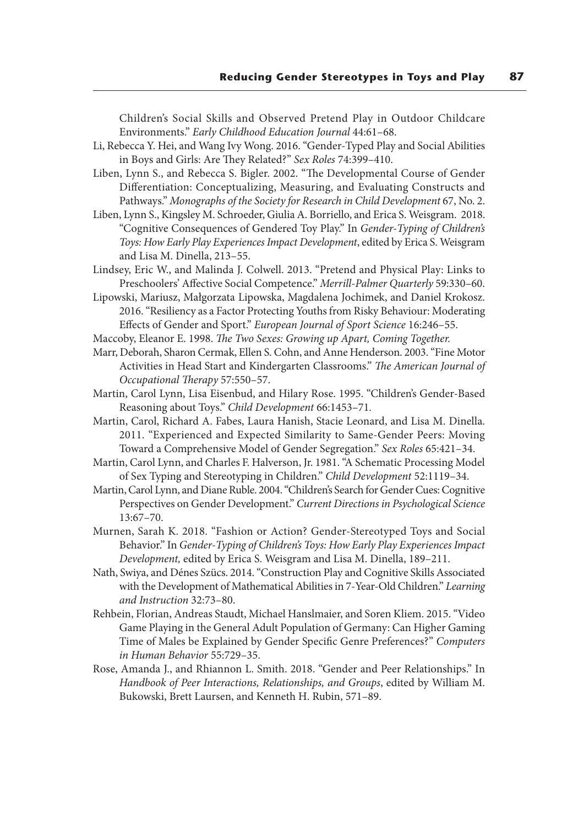Children's Social Skills and Observed Pretend Play in Outdoor Childcare Environments." *Early Childhood Education Journal* 44:61–68.

Li, Rebecca Y. Hei, and Wang Ivy Wong. 2016. "Gender-Typed Play and Social Abilities in Boys and Girls: Are They Related?" *Sex Roles* 74:399–410.

Liben, Lynn S., and Rebecca S. Bigler. 2002. "The Developmental Course of Gender Differentiation: Conceptualizing, Measuring, and Evaluating Constructs and Pathways." *Monographs of the Society for Research in Child Development* 67, No. 2.

- Liben, Lynn S., Kingsley M. Schroeder, Giulia A. Borriello, and Erica S. Weisgram. 2018. "Cognitive Consequences of Gendered Toy Play." In *Gender-Typing of Children's Toys: How Early Play Experiences Impact Development*, edited by Erica S. Weisgram and Lisa M. Dinella, 213–55.
- Lindsey, Eric W., and Malinda J. Colwell. 2013. "Pretend and Physical Play: Links to Preschoolers' Affective Social Competence." *Merrill-Palmer Quarterly* 59:330–60.

Lipowski, Mariusz, Małgorzata Lipowska, Magdalena Jochimek, and Daniel Krokosz. 2016. "Resiliency as a Factor Protecting Youths from Risky Behaviour: Moderating Effects of Gender and Sport." *European Journal of Sport Science* 16:246–55.

- Maccoby, Eleanor E. 1998. *The Two Sexes: Growing up Apart, Coming Together.*
- Marr, Deborah, Sharon Cermak, Ellen S. Cohn, and Anne Henderson. 2003. "Fine Motor Activities in Head Start and Kindergarten Classrooms." *The American Journal of Occupational Therapy* 57:550–57.
- Martin, Carol Lynn, Lisa Eisenbud, and Hilary Rose. 1995. "Children's Gender-Based Reasoning about Toys." *Child Development* 66:1453–71*.*
- Martin, Carol, Richard A. Fabes, Laura Hanish, Stacie Leonard, and Lisa M. Dinella. 2011. "Experienced and Expected Similarity to Same-Gender Peers: Moving Toward a Comprehensive Model of Gender Segregation." *Sex Roles* 65:421–34.
- Martin, Carol Lynn, and Charles F. Halverson, Jr. 1981. "A Schematic Processing Model of Sex Typing and Stereotyping in Children." *Child Development* 52:1119–34.
- Martin, Carol Lynn, and Diane Ruble. 2004. "Children's Search for Gender Cues: Cognitive Perspectives on Gender Development." *Current Directions in Psychological Science* 13:67–70.
- Murnen, Sarah K. 2018. "Fashion or Action? Gender-Stereotyped Toys and Social Behavior." In *Gender-Typing of Children's Toys: How Early Play Experiences Impact Development,* edited by Erica S. Weisgram and Lisa M. Dinella, 189–211.
- Nath, Swiya, and Dénes Szücs. 2014. "Construction Play and Cognitive Skills Associated with the Development of Mathematical Abilities in 7-Year-Old Children." *Learning and Instruction* 32:73–80.
- Rehbein, Florian, Andreas Staudt, Michael Hanslmaier, and Soren Kliem. 2015. "Video Game Playing in the General Adult Population of Germany: Can Higher Gaming Time of Males be Explained by Gender Specific Genre Preferences?" *Computers in Human Behavior* 55:729–35.
- Rose, Amanda J., and Rhiannon L. Smith. 2018. "Gender and Peer Relationships." In *Handbook of Peer Interactions, Relationships, and Groups*, edited by William M. Bukowski, Brett Laursen, and Kenneth H. Rubin, 571–89.